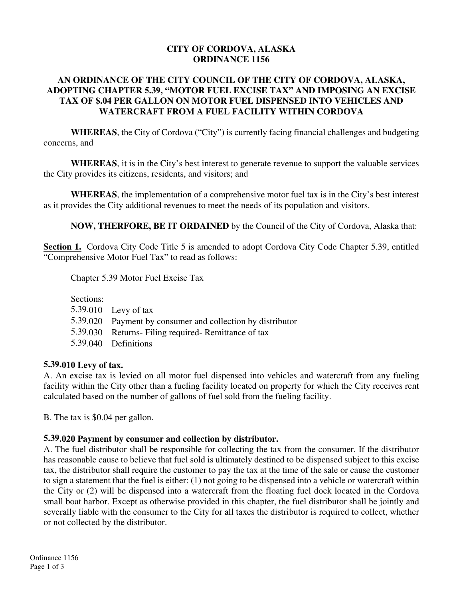### **CITY OF CORDOVA, ALASKA ORDINANCE 1156**

## **AN ORDINANCE OF THE CITY COUNCIL OF THE CITY OF CORDOVA, ALASKA, ADOPTING CHAPTER 5.39, "MOTOR FUEL EXCISE TAX" AND IMPOSING AN EXCISE TAX OF \$.04 PER GALLON ON MOTOR FUEL DISPENSED INTO VEHICLES AND WATERCRAFT FROM A FUEL FACILITY WITHIN CORDOVA**

**WHEREAS**, the City of Cordova ("City") is currently facing financial challenges and budgeting concerns, and

**WHEREAS**, it is in the City's best interest to generate revenue to support the valuable services the City provides its citizens, residents, and visitors; and

**WHEREAS**, the implementation of a comprehensive motor fuel tax is in the City's best interest as it provides the City additional revenues to meet the needs of its population and visitors.

**NOW, THERFORE, BE IT ORDAINED** by the Council of the City of Cordova, Alaska that:

**Section 1.** Cordova City Code Title 5 is amended to adopt Cordova City Code Chapter 5.39, entitled "Comprehensive Motor Fuel Tax" to read as follows:

Chapter 5.39 Motor Fuel Excise Tax

Sections:

- 5.39.010 Levy of tax
- 5.39.020 Payment by consumer and collection by distributor
- 5.39.030 Returns- Filing required- Remittance of tax
- 5.39.040 Definitions

## **5.39.010 Levy of tax.**

A. An excise tax is levied on all motor fuel dispensed into vehicles and watercraft from any fueling facility within the City other than a fueling facility located on property for which the City receives rent calculated based on the number of gallons of fuel sold from the fueling facility.

B. The tax is \$0.04 per gallon.

## **5.39.020 Payment by consumer and collection by distributor.**

A. The fuel distributor shall be responsible for collecting the tax from the consumer. If the distributor has reasonable cause to believe that fuel sold is ultimately destined to be dispensed subject to this excise tax, the distributor shall require the customer to pay the tax at the time of the sale or cause the customer to sign a statement that the fuel is either: (1) not going to be dispensed into a vehicle or watercraft within the City or (2) will be dispensed into a watercraft from the floating fuel dock located in the Cordova small boat harbor. Except as otherwise provided in this chapter, the fuel distributor shall be jointly and severally liable with the consumer to the City for all taxes the distributor is required to collect, whether or not collected by the distributor.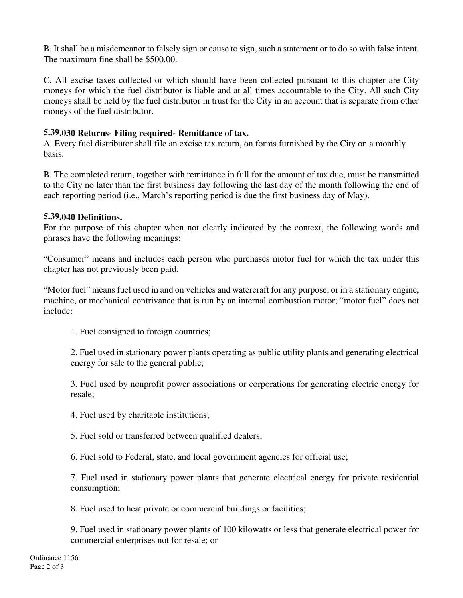B. It shall be a misdemeanor to falsely sign or cause to sign, such a statement or to do so with false intent. The maximum fine shall be \$500.00.

C. All excise taxes collected or which should have been collected pursuant to this chapter are City moneys for which the fuel distributor is liable and at all times accountable to the City. All such City moneys shall be held by the fuel distributor in trust for the City in an account that is separate from other moneys of the fuel distributor.

## **5.39.030 Returns- Filing required- Remittance of tax.**

A. Every fuel distributor shall file an excise tax return, on forms furnished by the City on a monthly basis.

B. The completed return, together with remittance in full for the amount of tax due, must be transmitted to the City no later than the first business day following the last day of the month following the end of each reporting period (i.e., March's reporting period is due the first business day of May).

## **5.39.040 Definitions.**

For the purpose of this chapter when not clearly indicated by the context, the following words and phrases have the following meanings:

"Consumer" means and includes each person who purchases motor fuel for which the tax under this chapter has not previously been paid.

"Motor fuel" means fuel used in and on vehicles and watercraft for any purpose, or in a stationary engine, machine, or mechanical contrivance that is run by an internal combustion motor; "motor fuel" does not include:

1. Fuel consigned to foreign countries;

2. Fuel used in stationary power plants operating as public utility plants and generating electrical energy for sale to the general public;

3. Fuel used by nonprofit power associations or corporations for generating electric energy for resale;

- 4. Fuel used by charitable institutions;
- 5. Fuel sold or transferred between qualified dealers;
- 6. Fuel sold to Federal, state, and local government agencies for official use;

7. Fuel used in stationary power plants that generate electrical energy for private residential consumption;

8. Fuel used to heat private or commercial buildings or facilities;

9. Fuel used in stationary power plants of 100 kilowatts or less that generate electrical power for commercial enterprises not for resale; or